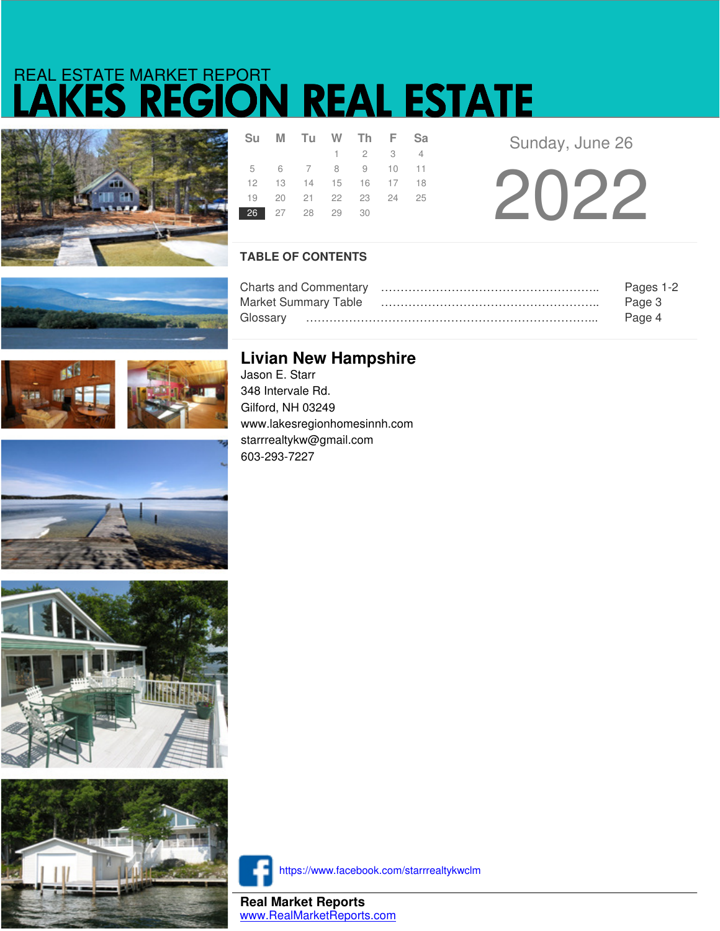# LAKES REGION REAL ESTATE REAL ESTATE MARKET REPORT



|  | Su M Tu W Th F Sa          |                             |  |  |  |
|--|----------------------------|-----------------------------|--|--|--|
|  |                            | $1 \quad 2 \quad 3 \quad 4$ |  |  |  |
|  | 5 6 7 8 9 10 11            |                             |  |  |  |
|  | 12  13  14  15  16  17  18 |                             |  |  |  |
|  | 19 20 21 22 23 24 25       |                             |  |  |  |
|  | 26 27 28 29 30             |                             |  |  |  |
|  |                            |                             |  |  |  |

Sunday, June 26

2022

### **TABLE OF CONTENTS**

|                             | Pages 1-2 |
|-----------------------------|-----------|
| <b>Market Summary Table</b> | Page 3    |
| Glossarv                    | Page 4    |







## **Livian New Hampshire**

Jason E. Starr 348 Intervale Rd. Gilford, NH 03249 www.lakesregionhomesinnh.com starrrealtykw@gmail.com 603-293-7227







https://www.facebook.com/starrrealtykwclm

**Real Market Reports** www.RealMarketReports.com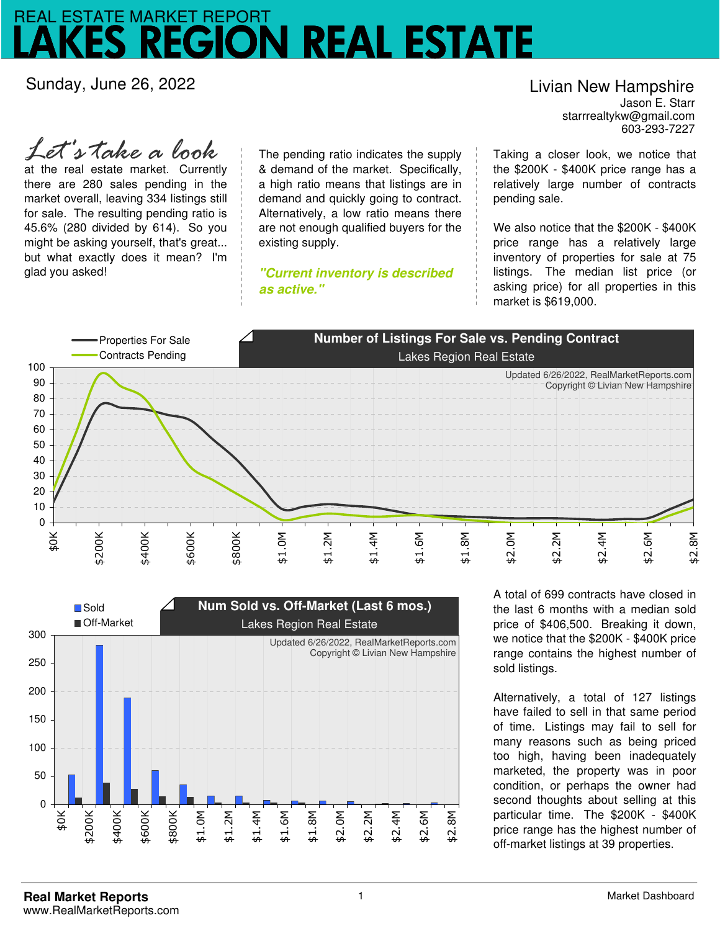## GION REAL ESTATE REAL ESTATE MARKET REPORT

Sunday, June 26, 2022

Livian New Hampshire

starrrealtykw@gmail.com Jason E. Starr 603-293-7227

at the real estate market. Currently there are 280 sales pending in the market overall, leaving 334 listings still for sale. The resulting pending ratio is 45.6% (280 divided by 614). So you might be asking yourself, that's great... but what exactly does it mean? I'm glad you asked! *Let's take a look*

The pending ratio indicates the supply & demand of the market. Specifically, a high ratio means that listings are in demand and quickly going to contract. Alternatively, a low ratio means there are not enough qualified buyers for the existing supply.

**"Current inventory is described as active."**

Taking a closer look, we notice that the \$200K - \$400K price range has a relatively large number of contracts pending sale.

We also notice that the \$200K - \$400K price range has a relatively large inventory of properties for sale at 75 listings. The median list price (or asking price) for all properties in this market is \$619,000.





A total of 699 contracts have closed in the last 6 months with a median sold price of \$406,500. Breaking it down, we notice that the \$200K - \$400K price range contains the highest number of sold listings.

Alternatively, a total of 127 listings have failed to sell in that same period of time. Listings may fail to sell for many reasons such as being priced too high, having been inadequately marketed, the property was in poor condition, or perhaps the owner had second thoughts about selling at this particular time. The \$200K - \$400K price range has the highest number of off-market listings at 39 properties.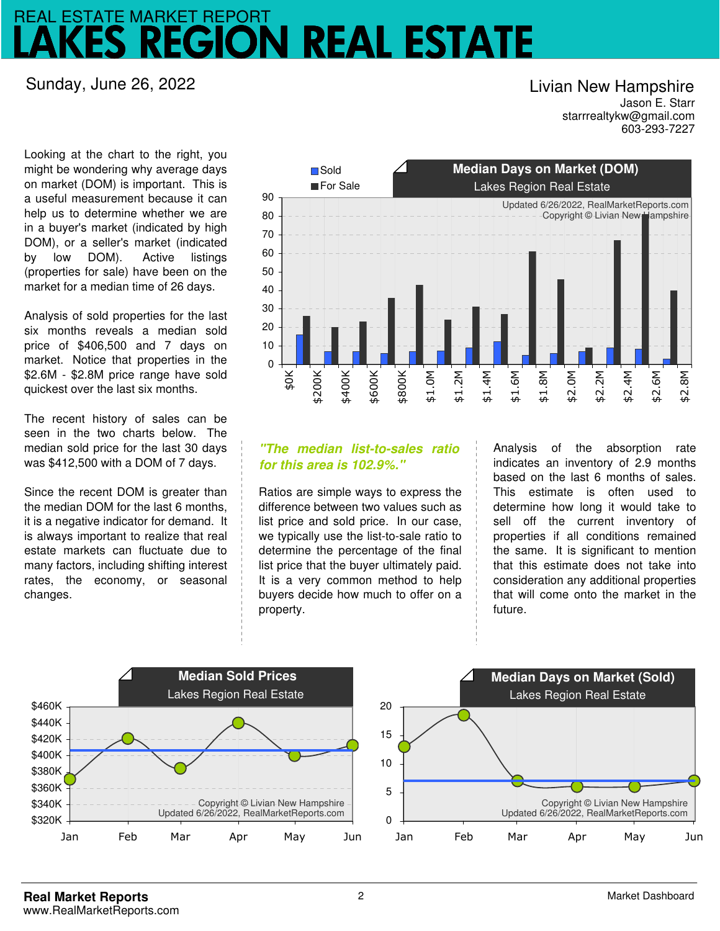## ON REAL ESTATE REAL ESTATE MARKET REPORT

### Sunday, June 26, 2022

## Livian New Hampshire

starrrealtykw@gmail.com Jason E. Starr 603-293-7227

Looking at the chart to the right, you might be wondering why average days on market (DOM) is important. This is a useful measurement because it can help us to determine whether we are in a buyer's market (indicated by high DOM), or a seller's market (indicated by low DOM). Active listings (properties for sale) have been on the market for a median time of 26 days.

Analysis of sold properties for the last six months reveals a median sold price of \$406,500 and 7 days on market. Notice that properties in the \$2.6M - \$2.8M price range have sold quickest over the last six months.

The recent history of sales can be seen in the two charts below. The median sold price for the last 30 days was \$412,500 with a DOM of 7 days.

Since the recent DOM is greater than the median DOM for the last 6 months, it is a negative indicator for demand. It is always important to realize that real estate markets can fluctuate due to many factors, including shifting interest rates, the economy, or seasonal changes.



#### **"The median list-to-sales ratio for this area is 102.9%."**

Ratios are simple ways to express the difference between two values such as list price and sold price. In our case, we typically use the list-to-sale ratio to determine the percentage of the final list price that the buyer ultimately paid. It is a very common method to help buyers decide how much to offer on a property.

Analysis of the absorption rate indicates an inventory of 2.9 months based on the last 6 months of sales. This estimate is often used to determine how long it would take to sell off the current inventory of properties if all conditions remained the same. It is significant to mention that this estimate does not take into consideration any additional properties that will come onto the market in the future.

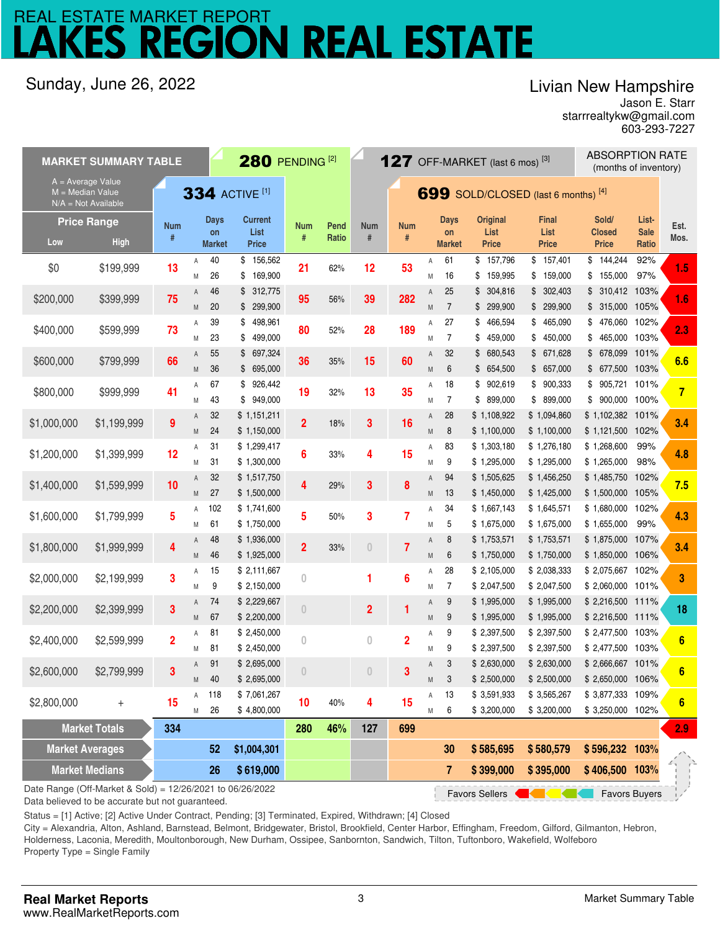## **GION REAL ESTATE** REAL ESTATE MARKET REPORT

## Sunday, June 26, 2022

## Livian New Hampshire

starrrealtykw@gmail.com Jason E. Starr 603-293-7227

| <b>MARKET SUMMARY TABLE</b>                                                                                |                    |                       |        | $280$ PENDING <sup>[2]</sup> |                                |                | <b>127</b> OFF-MARKET (last 6 mos) <sup>[3]</sup> |                                     |                                      |                |                      |                                | <b>ABSORPTION RATE</b><br>(months of inventory) |                                      |                      |                |     |
|------------------------------------------------------------------------------------------------------------|--------------------|-----------------------|--------|------------------------------|--------------------------------|----------------|---------------------------------------------------|-------------------------------------|--------------------------------------|----------------|----------------------|--------------------------------|-------------------------------------------------|--------------------------------------|----------------------|----------------|-----|
| $A = Average Value$<br>$M = Median Value$<br>$N/A = Not Available$                                         |                    | <b>334 ACTIVE [1]</b> |        |                              |                                |                |                                                   | 699 SOLD/CLOSED (last 6 months) [4] |                                      |                |                      |                                |                                                 |                                      |                      |                |     |
|                                                                                                            | <b>Price Range</b> | <b>Num</b>            |        | <b>Days</b>                  | <b>Current</b>                 | <b>Num</b>     | Pend                                              | <b>Num</b>                          | <b>Num</b>                           |                | <b>Days</b>          | <b>Original</b>                | Final                                           | Sold/                                | List-                | Est.           |     |
| Low                                                                                                        | <b>High</b>        | #                     |        | on<br><b>Market</b>          | List<br><b>Price</b>           | #              | Ratio                                             | #                                   | #                                    |                | on<br><b>Market</b>  | List<br><b>Price</b>           | List<br><b>Price</b>                            | <b>Closed</b><br><b>Price</b>        | <b>Sale</b><br>Ratio | Mos.           |     |
| \$0                                                                                                        | \$199,999          | 13                    | A<br>M | 40<br>26                     | \$156,562<br>\$<br>169,900     | 21             | 62%                                               | 12                                  | 53                                   | Α<br>M         | 61<br>16             | \$157,796<br>\$<br>159,995     | \$157,401<br>\$159,000                          | \$144,244<br>\$155,000               | 92%<br>97%           | 1.5            |     |
|                                                                                                            |                    |                       | Α      | 46                           | \$312,775                      |                |                                                   |                                     |                                      | Α              | 25                   | \$<br>304,816                  | \$302,403                                       | \$ 310,412 103%                      |                      |                |     |
| \$200,000                                                                                                  | \$399,999          | 75                    | M      | 20                           | 299,900<br>\$                  | 95             | 56%                                               | 39                                  | 282                                  | M              | $\overline{7}$       | 299,900<br>\$                  | 299,900<br>\$                                   | \$<br>315,000 105%                   |                      | 1.6            |     |
| \$400,000                                                                                                  | \$599,999          | 73                    | Α      | 39                           | 498,961<br>\$                  | 80             | 52%                                               | 28                                  | 189                                  | Α              | 27                   | \$<br>466,594                  | \$<br>465,090                                   | \$476,060                            | 102%                 | 2.3            |     |
|                                                                                                            |                    |                       | M      | 23                           | 499,000<br>\$                  |                |                                                   |                                     |                                      | M              | $\overline{7}$       | 459,000<br>\$                  | 450,000<br>\$                                   | 465,000 103%<br>\$                   |                      |                |     |
| \$600,000                                                                                                  | \$799,999          | 66                    | Α      | 55                           | \$697,324                      | 36             | 35%                                               | 15                                  | 60                                   | Α              | 32                   | \$<br>680,543                  | \$671,628                                       | \$ 678,099                           | 101%                 | 6.6            |     |
|                                                                                                            |                    |                       | M      | 36                           | \$695,000                      |                |                                                   |                                     |                                      | M              | 6                    | \$654,500                      | \$657,000                                       | \$ 677,500 103%                      |                      |                |     |
| \$800,000                                                                                                  | \$999,999          | 41                    | Α<br>M | 67<br>43                     | 926,442<br>\$<br>\$<br>949,000 | 19             | 32%                                               | 13                                  | 35                                   | Α<br>M         | 18<br>$\overline{7}$ | 902,619<br>\$<br>899,000<br>\$ | \$900,333<br>\$ 899,000                         | \$<br>905,721<br>900,000 100%<br>\$  | 101%                 | 7              |     |
|                                                                                                            |                    |                       | Α      | 32                           | \$1,151,211                    |                |                                                   |                                     |                                      | Α              | 28                   | \$1,108,922                    | \$1,094,860                                     | \$1,102,382 101%                     |                      |                |     |
| \$1,000,000                                                                                                | \$1,199,999        | 9                     | M      | 24                           | \$1,150,000                    | $\overline{2}$ | 18%                                               | 3                                   | 16                                   | M              | 8                    | \$1,100,000                    | \$1,100,000                                     | \$1,121,500                          | 102%                 | 3.4            |     |
|                                                                                                            |                    |                       | Α      | 31                           | \$1,299,417                    |                | 33%                                               | 4                                   |                                      | Α              | 83                   | \$1,303,180                    | \$1,276,180                                     | \$1,268,600                          | 99%                  |                |     |
| \$1,200,000                                                                                                | \$1,399,999        | 12                    | M      | 31                           | \$1,300,000                    | 6              |                                                   |                                     | 15                                   | Μ              | 9                    | \$1,295,000                    | \$1,295,000                                     | \$1,265,000                          | 98%                  | 4.8            |     |
| \$1,400,000                                                                                                | \$1,599,999        | 10                    | A      | 32                           | \$1,517,750                    | 4              | 29%                                               | $\mathbf{3}$                        | 8                                    | Α              | 94                   | \$1,505,625                    | \$1,456,250                                     | \$1,485,750 102%                     |                      | 7.5            |     |
|                                                                                                            |                    |                       | M      | 27                           | \$1,500,000                    |                |                                                   |                                     |                                      | M              | 13                   | \$1,450,000                    | \$1,425,000                                     | \$1,500,000 105%                     |                      |                |     |
| \$1,600,000                                                                                                | \$1,799,999        | 5                     | Α      | 102                          | \$1,741,600                    | 5              | 50%                                               | 3                                   | $\overline{7}$                       | Α              | 34                   | \$1,667,143                    | \$1,645,571                                     | \$1,680,000                          | 102%                 | 4.3            |     |
|                                                                                                            |                    |                       | M      | 61                           | \$1,750,000                    |                |                                                   |                                     |                                      | Μ              | 5                    | \$1,675,000                    | \$1,675,000                                     | \$1,655,000                          | 99%                  |                |     |
| \$1,800,000                                                                                                | \$1,999,999        |                       | 4      | Α                            | 48                             | \$1,936,000    | $\overline{2}$                                    | 33%                                 | $\begin{matrix} 0 \\ 0 \end{matrix}$ | $\overline{7}$ | Α                    | 8                              | \$1,753,571                                     | \$1,753,571                          | \$1,875,000          | 107%           | 3.4 |
|                                                                                                            |                    |                       | M      | 46<br>15                     | \$1,925,000<br>\$2,111,667     |                |                                                   |                                     |                                      | M              | 6<br>28              | \$1,750,000<br>\$2,105,000     | \$1,750,000<br>\$2,038,333                      | \$1,850,000 106%<br>\$2,075,667 102% |                      |                |     |
| \$2,000,000                                                                                                | \$2,199,999        | 3                     | Α<br>M | 9                            | \$2,150,000                    | $\overline{0}$ |                                                   | 1                                   | 6                                    | Α<br>Μ         | 7                    | \$2,047,500                    | \$2,047,500                                     | \$2,060,000                          | 101%                 | 3              |     |
|                                                                                                            |                    |                       | Α      | 74                           | \$2,229,667                    |                |                                                   |                                     |                                      | Α              | 9                    | \$1,995,000                    | \$1,995,000                                     | \$2,216,500 111%                     |                      |                |     |
| \$2,200,000                                                                                                | \$2,399,999        | 3                     | M      | 67                           | \$2,200,000                    | $\theta$       |                                                   | $\overline{2}$                      |                                      | M              | 9                    | \$1,995,000                    | \$1,995,000                                     | \$2,216,500                          | 111%                 | 18             |     |
|                                                                                                            |                    |                       | Α      | 81                           | \$2,450,000                    |                |                                                   |                                     |                                      | Α              | 9                    | \$2,397,500                    | \$2,397,500                                     | \$2,477,500                          | 103%                 |                |     |
| \$2,400,000                                                                                                | \$2,599,999        | $\overline{2}$        | M      | 81                           | \$2,450,000                    | $\overline{0}$ |                                                   | $\bf{0}$                            | $\overline{2}$                       | M              | 9                    | \$2,397,500                    | \$2,397,500                                     | \$2,477,500                          | 103%                 | 6              |     |
| \$2,600,000                                                                                                |                    | 3                     | Α      | 91                           | \$2,695,000                    |                |                                                   | $\theta$                            | 3                                    | A              | 3                    | \$2,630,000                    | \$2,630,000                                     | \$2,666,667 101%                     |                      | 6              |     |
|                                                                                                            | \$2,799,999        |                       | M      | 40                           | \$2,695,000                    |                |                                                   |                                     |                                      | M              | 3                    | \$2,500,000                    | \$2,500,000                                     | \$2,650,000 106%                     |                      |                |     |
| \$2,800,000                                                                                                | $^{+}$             | 15                    | Α      | 118                          | \$7,061,267                    | 10             | 40%                                               | 4                                   | 15                                   | Α              | 13                   | \$3,591,933                    | \$3,565,267                                     | \$3,877,333 109%                     |                      | $6\phantom{a}$ |     |
|                                                                                                            |                    |                       | Μ      | 26                           | \$4,800,000                    |                |                                                   |                                     | Μ                                    | 6              | \$3,200,000          | \$3,200,000                    | \$3,250,000 102%                                |                                      |                      |                |     |
| <b>Market Totals</b>                                                                                       |                    | 334                   |        |                              |                                | 280            | 46%                                               | 127                                 | 699                                  |                |                      |                                |                                                 |                                      |                      | 2.9            |     |
| <b>Market Averages</b>                                                                                     |                    |                       |        | 52                           | \$1,004,301                    |                |                                                   |                                     |                                      |                | 30                   | \$585,695                      | \$580,579                                       | \$596,232 103%                       |                      |                |     |
| <b>Market Medians</b>                                                                                      |                    |                       | 26     | \$619,000                    |                                |                |                                                   |                                     |                                      | 7              | \$399,000            | \$395,000                      | \$406,500 103%                                  |                                      |                      |                |     |
| Date Range (Off-Market & Sold) = 12/26/2021 to 06/26/2022<br><b>Favors Buyers</b><br><b>Favors Sellers</b> |                    |                       |        |                              |                                |                |                                                   |                                     |                                      |                |                      |                                |                                                 |                                      |                      |                |     |

Data believed to be accurate but not guaranteed.

Status = [1] Active; [2] Active Under Contract, Pending; [3] Terminated, Expired, Withdrawn; [4] Closed

City = Alexandria, Alton, Ashland, Barnstead, Belmont, Bridgewater, Bristol, Brookfield, Center Harbor, Effingham, Freedom, Gilford, Gilmanton, Hebron, Holderness, Laconia, Meredith, Moultonborough, New Durham, Ossipee, Sanbornton, Sandwich, Tilton, Tuftonboro, Wakefield, Wolfeboro Property Type = Single Family